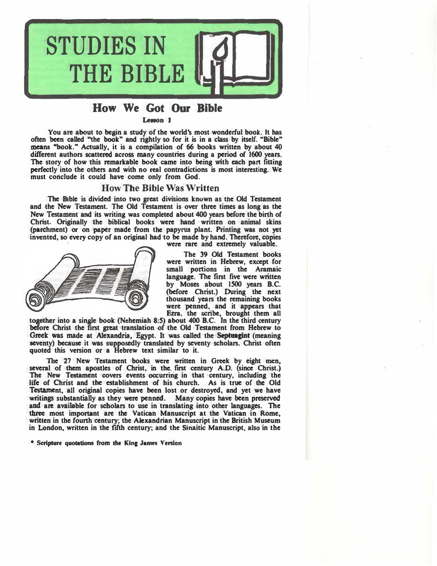

## **How We Got Our Bible**

Lason t

**You are about to begin a study of the world's most wonderful book. It has**  often been called "the book" and rightly so for it is in a class by itself. "Bible" **means .. book." Actually, it is a compilation of 66 books written by about 40 different authors scattered across many countries during a period of 1600 years. The story of how this remarkable book came into being with each part fitting perfectly into the others and with no real contradictions is most interesting. We must conclude it could have come only from God.** 

#### **How The Bible Was Written**

The Bible is divided into two great divisions known as the Old Testament **and the New Testament. The Old Testament is over three times as long as the New Testament and its writing was completed about 400 years before the birth of Christ. Originally the biblical books were hand written on animal skins (parchment) or on paper made from the papyrus plant. Printing was not yet invented, so every copy of an original bad to be made by hand. Therefore, copies** 



**were rare and extremely valuable.** 

**The 39 Old Testament books were written in Hebrew, except for small portions in the Aramaic**  language. The first five were written **by Moses about ISOO years B.C. (before Christ.) During the next thousand years the remaining books were penned, and it appears that Ezra, the scribe, brought them all** 

**together into a single book (Nehemiah 8:S) about 400 B.C. In the third century before Christ the first great translation of the Old Testament from Hebrew to**  Greek was made at Alexandria, Egypt. It was called the Septungint (meaning **seventy) because it was supposedly translated by seventy scholars. Christ often quoted this version or a Hebrew text similar to it.** 

**The 27 New Testament books were written in Greek by eight men,**  several of them apostles of Christ, in the first century A.D. (since Christ.) **The New Testament covers events occurring in that century, including the life of Christ and the establishment of his church. As is true of the Old Testament, all original copies have been lost or destroyed, and yet we have writings substantially as they were penned. Many copies have been preserved � most important are the Vatican Manuscript at the Vatican in Rome, and are available for scholars to use in translating into other languages. The written in the fourth century; the Alexandrian Manuscript in the British Museum in London, written in the fifth century; and the Sinaitic Manuscript, also in the** 

• Scripture quotations from the Kine James Venlon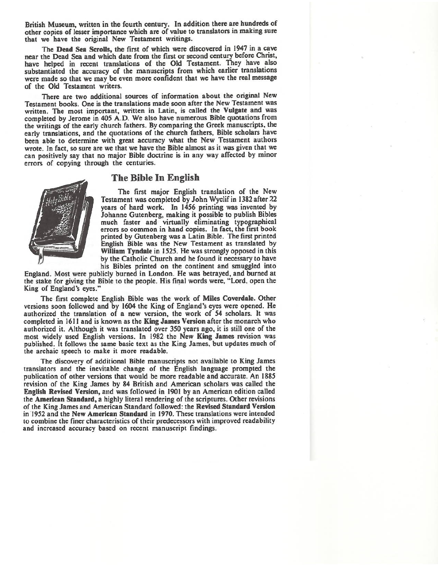British Museum, written in the fourth century. In addition there are hundreds of other copies of lesser importance which are of value to translators in making sure that we have the original New Testament writings.

The Dead Sea Scrolls, the first of which were discovered in 1947 in a cave near the Dead Sea and which date from the first or second century before Christ, have helped in recent translations of the Old Testament. They have also substantiated the accuracy of the manuscripts from which earlier translations were made so that we may be even more confident that we have the real message of the Old Testament writers.

There are two additional sources of information about the original New Testament books. One is the translations made soon after the New Testament was written. The most important, written in Latin, is called the Vulgate and was completed by Jerome in 405 A.D. We also have numerous Bible quotations from the writings of the early church fathers. By comparing the Greek manuscripts, the early translations, and the quotations of the church fathers. Bible scholars have been able to determine with great accuracy what the New Testament authors wrote. In fact, so sure are we that we have the Bible almost as it was given that we can positively say that no major Bible doctrine is in any way affected by minor errors of copying through the centuries.



### The Bible In English

The first major English translation of the New Testament was completed by John Wyclif in 1382 after 22 vears of hard work. In 1456 printing was invented by Johanne Gutenberg, making it possible to publish Bibles much faster and virtually eliminating typographical errors so common in hand copies. In fact, the first book printed by Gutenberg was a Latin Bible. The first printed English Bible was the New Testament as translated by William Tyndale in 1525. He was strongly opposed in this by the Catholic Church and he found it necessary to have his Bibles printed on the continent and smuggled into

England. Most were publicly burned in London. He was betrayed, and burned at the stake for giving the Bible to the people. His final words were, "Lord, open the King of England's eyes."

The first complete English Bible was the work of Miles Coverdale. Other versions soon followed and by 1604 the King of England's eyes were opened. He authorized the translation of a new version, the work of 54 scholars. It was completed in 1611 and is known as the King James Version after the monarch who authorized it. Although it was translated over 350 years ago, it is still one of the most widely used English versions. In 1982 the New King James revision was published. It follows the same basic text as the King James, but updates much of the archaic speech to make it more readable.

The discovery of additional Bible manuscripts not available to King James translators and the inevitable change of the English language prompted the publication of other versions that would be more readable and accurate. An 1885 revision of the King James by 84 British and American scholars was called the English Revised Version, and was followed in 1901 by an American edition called the American Standard, a highly literal rendering of the scriptures. Other revisions of the King James and American Standard followed: the Revised Standard Version in 1952 and the New American Standard in 1970. These translations were intended to combine the finer characteristics of their predecessors with improved readability and increased accuracy based on recent manuscript findings.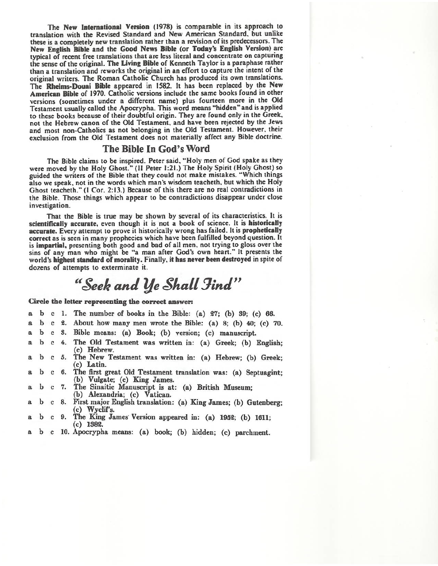The New International Version (1978) is comparable in its approach to translation with the Revised Standard and New American Standard, but unlike these is a completely new translation rather than a revision of its predecessors. The New English Bible and the Good News Bible (or Today's English Version) are typical of recent free translations that are less literal and concentrate on capturing the sense of the original. The Living Bible of Kenneth Taylor is a paraphase rather than a translation and reworks the original in an effort to capture the intent of the original writers. The Roman Catholic Church has produced its own translations. The Rheims-Douai Bible appeared in 1582. It has been replaced by the New American Bible of 1970. Catholic versions include the same books found in other versions (sometimes under a different name) plus fourteen more in the Old Testament usually called the Apocrypha. This word means "hidden" and is applied to these books because of their doubtful origin. They are found only in the Greek, not the Hebrew canon of the Old Testament, and have been rejected by the Jews and most non-Catholics as not belonging in the Old Testament. However, their exclusion from the Old Testament does not materially affect any Bible doctrine.

### The Bible In God's Word

The Bible claims to be inspired. Peter said, "Holy men of God spake as they were moved by the Holy Ghost." (II Peter 1:21.) The Holy Spirit (Holy Ghost) so guided the writers of the Bible that they could not make mistakes. "Which things also we speak, not in the words which man's wisdom teacheth, but which the Holy Ghost teacheth." (I Cor. 2:13.) Because of this there are no real contradictions in the Bible. Those things which appear to be contradictions disappear under close investigation.

That the Bible is true may be shown by several of its characteristics. It is scientifically accurate, even though it is not a book of science. It is historically accurate. Every attempt to prove it historically wrong has failed. It is prophetically correct as is seen in many prophecies which have been fulfilled beyond question. It is impartial, presenting both good and bad of all men, not trying to gloss over the sins of any man who might be "a man after God's own heart." It presents the world's highest standard of morality. Finally, it has never been destroyed in spite of dozens of attempts to exterminate it.

# "Seek and Ye Shall Find"

Circle the letter representing the correct answer:

- 1. The number of books in the Bible: (a) 27; (b) 39; (c) 66.  $b$  c  $\overline{\mathbf{a}}$ 2. About how many men wrote the Bible: (a) 8; (b) 40; (c) 70. a b c 3. Bible means: (a) Book; (b) version; (c) manuscript. b c  $\mathbf{a}$ The Old Testament was written in: (a) Greek; (b) English; b c  $4.$  $\mathbf{a}$ (c) Hebrew.  $b$  c 5. The New Testament was written in: (a) Hebrew; (b) Greek;  $\mathbf{a}$ (c) Latin.  $\mathbf b$  $\mathbf{c}$ 6. The first great Old Testament translation was: (a) Septuagint; a (b) Vulgate; (c) King James.<br>The Sinaitic Manuscript is at: (a) British Museum; b c 7.  $\mathbf{a}$ (b) Alexandria; (c) Vatican. b 8. First major English translation: (a) King James: (b) Gutenberg:  $\bf c$  $\mathbf{a}$
- (c) Wyclif's.<br>The King James Version appeared in: (a) 1952; (b) 1611;
- b 9. a  $\mathbf{c}$  $(c)$  1382.
- b c 10. Apocrypha means: (a) book; (b) hidden; (c) parchment.  $\mathbf{a}$